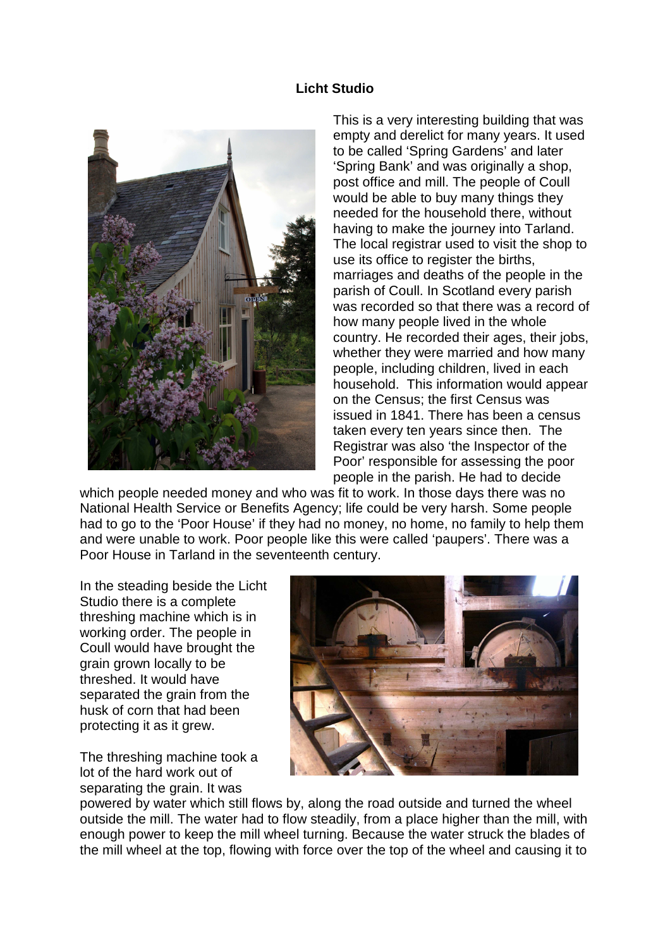## **Licht Studio**



This is a very interesting building that was empty and derelict for many years. It used to be called 'Spring Gardens' and later 'Spring Bank' and was originally a shop, post office and mill. The people of Coull would be able to buy many things they needed for the household there, without having to make the journey into Tarland. The local registrar used to visit the shop to use its office to register the births, marriages and deaths of the people in the parish of Coull. In Scotland every parish was recorded so that there was a record of how many people lived in the whole country. He recorded their ages, their jobs, whether they were married and how many people, including children, lived in each household. This information would appear on the Census; the first Census was issued in 1841. There has been a census taken every ten years since then. The Registrar was also 'the Inspector of the Poor' responsible for assessing the poor people in the parish. He had to decide

which people needed money and who was fit to work. In those days there was no National Health Service or Benefits Agency; life could be very harsh. Some people had to go to the 'Poor House' if they had no money, no home, no family to help them and were unable to work. Poor people like this were called 'paupers'. There was a Poor House in Tarland in the seventeenth century.

In the steading beside the Licht Studio there is a complete threshing machine which is in working order. The people in Coull would have brought the grain grown locally to be threshed. It would have separated the grain from the husk of corn that had been protecting it as it grew.

The threshing machine took a lot of the hard work out of separating the grain. It was



powered by water which still flows by, along the road outside and turned the wheel outside the mill. The water had to flow steadily, from a place higher than the mill, with enough power to keep the mill wheel turning. Because the water struck the blades of the mill wheel at the top, flowing with force over the top of the wheel and causing it to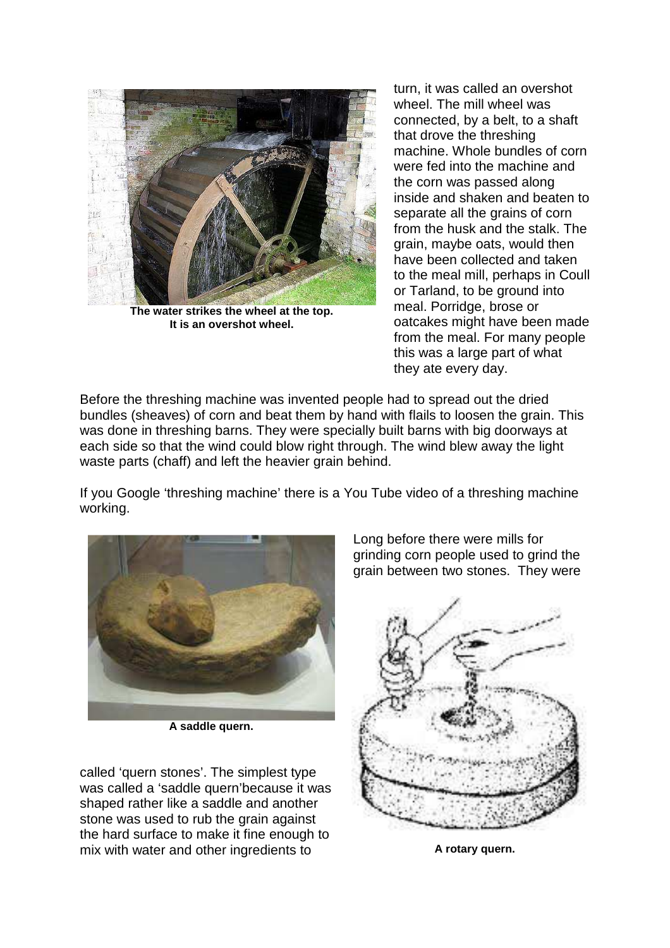

**The water strikes the wheel at the top. It is an overshot wheel.** 

turn, it was called an overshot wheel. The mill wheel was connected, by a belt, to a shaft that drove the threshing machine. Whole bundles of corn were fed into the machine and the corn was passed along inside and shaken and beaten to separate all the grains of corn from the husk and the stalk. The grain, maybe oats, would then have been collected and taken to the meal mill, perhaps in Coull or Tarland, to be ground into meal. Porridge, brose or oatcakes might have been made from the meal. For many people this was a large part of what they ate every day.

Before the threshing machine was invented people had to spread out the dried bundles (sheaves) of corn and beat them by hand with flails to loosen the grain. This was done in threshing barns. They were specially built barns with big doorways at each side so that the wind could blow right through. The wind blew away the light waste parts (chaff) and left the heavier grain behind.

If you Google 'threshing machine' there is a You Tube video of a threshing machine working.



**A saddle quern.** 

called 'quern stones'. The simplest type was called a 'saddle quern'because it was shaped rather like a saddle and another stone was used to rub the grain against the hard surface to make it fine enough to mix with water and other ingredients to

Long before there were mills for grinding corn people used to grind the grain between two stones. They were



**A rotary quern.**